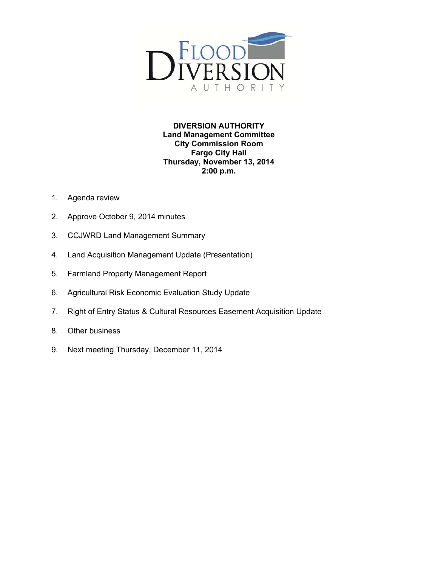

**DIVERSION AUTHORITY Land Management Committee City Commission Room Fargo City Hall Thursday, November 13, 2014 2:00 p.m.** 

- 1. Agenda review
- 2. Approve October 9, 2014 minutes
- 3. CCJWRD Land Management Summary
- 4. Land Acquisition Management Update (Presentation)
- 5. Farmland Property Management Report
- 6. Agricultural Risk Economic Evaluation Study Update
- 7. Right of Entry Status & Cultural Resources Easement Acquisition Update
- 8. Other business
- 9. Next meeting Thursday, December 11, 2014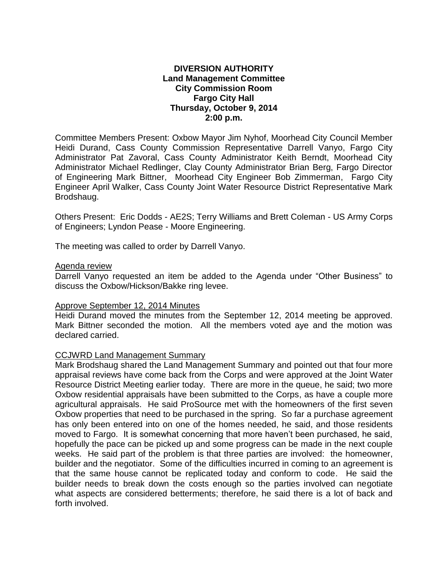# **DIVERSION AUTHORITY Land Management Committee City Commission Room Fargo City Hall Thursday, October 9, 2014 2:00 p.m.**

Committee Members Present: Oxbow Mayor Jim Nyhof, Moorhead City Council Member Heidi Durand, Cass County Commission Representative Darrell Vanyo, Fargo City Administrator Pat Zavoral, Cass County Administrator Keith Berndt, Moorhead City Administrator Michael Redlinger, Clay County Administrator Brian Berg, Fargo Director of Engineering Mark Bittner, Moorhead City Engineer Bob Zimmerman, Fargo City Engineer April Walker, Cass County Joint Water Resource District Representative Mark Brodshaug.

Others Present: Eric Dodds - AE2S; Terry Williams and Brett Coleman - US Army Corps of Engineers; Lyndon Pease - Moore Engineering.

The meeting was called to order by Darrell Vanyo.

## Agenda review

Darrell Vanyo requested an item be added to the Agenda under "Other Business" to discuss the Oxbow/Hickson/Bakke ring levee.

## Approve September 12, 2014 Minutes

Heidi Durand moved the minutes from the September 12, 2014 meeting be approved. Mark Bittner seconded the motion. All the members voted aye and the motion was declared carried.

## CCJWRD Land Management Summary

Mark Brodshaug shared the Land Management Summary and pointed out that four more appraisal reviews have come back from the Corps and were approved at the Joint Water Resource District Meeting earlier today. There are more in the queue, he said; two more Oxbow residential appraisals have been submitted to the Corps, as have a couple more agricultural appraisals. He said ProSource met with the homeowners of the first seven Oxbow properties that need to be purchased in the spring. So far a purchase agreement has only been entered into on one of the homes needed, he said, and those residents moved to Fargo. It is somewhat concerning that more haven't been purchased, he said, hopefully the pace can be picked up and some progress can be made in the next couple weeks. He said part of the problem is that three parties are involved: the homeowner, builder and the negotiator. Some of the difficulties incurred in coming to an agreement is that the same house cannot be replicated today and conform to code. He said the builder needs to break down the costs enough so the parties involved can negotiate what aspects are considered betterments; therefore, he said there is a lot of back and forth involved.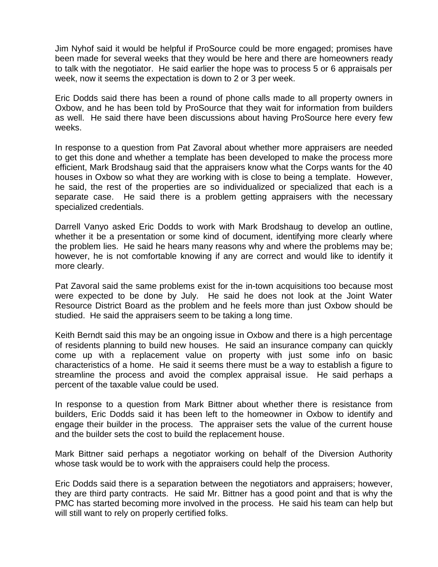Jim Nyhof said it would be helpful if ProSource could be more engaged; promises have been made for several weeks that they would be here and there are homeowners ready to talk with the negotiator. He said earlier the hope was to process 5 or 6 appraisals per week, now it seems the expectation is down to 2 or 3 per week.

Eric Dodds said there has been a round of phone calls made to all property owners in Oxbow, and he has been told by ProSource that they wait for information from builders as well. He said there have been discussions about having ProSource here every few weeks.

In response to a question from Pat Zavoral about whether more appraisers are needed to get this done and whether a template has been developed to make the process more efficient, Mark Brodshaug said that the appraisers know what the Corps wants for the 40 houses in Oxbow so what they are working with is close to being a template. However, he said, the rest of the properties are so individualized or specialized that each is a separate case. He said there is a problem getting appraisers with the necessary specialized credentials.

Darrell Vanyo asked Eric Dodds to work with Mark Brodshaug to develop an outline, whether it be a presentation or some kind of document, identifying more clearly where the problem lies. He said he hears many reasons why and where the problems may be; however, he is not comfortable knowing if any are correct and would like to identify it more clearly.

Pat Zavoral said the same problems exist for the in-town acquisitions too because most were expected to be done by July. He said he does not look at the Joint Water Resource District Board as the problem and he feels more than just Oxbow should be studied. He said the appraisers seem to be taking a long time.

Keith Berndt said this may be an ongoing issue in Oxbow and there is a high percentage of residents planning to build new houses. He said an insurance company can quickly come up with a replacement value on property with just some info on basic characteristics of a home. He said it seems there must be a way to establish a figure to streamline the process and avoid the complex appraisal issue. He said perhaps a percent of the taxable value could be used.

In response to a question from Mark Bittner about whether there is resistance from builders, Eric Dodds said it has been left to the homeowner in Oxbow to identify and engage their builder in the process. The appraiser sets the value of the current house and the builder sets the cost to build the replacement house.

Mark Bittner said perhaps a negotiator working on behalf of the Diversion Authority whose task would be to work with the appraisers could help the process.

Eric Dodds said there is a separation between the negotiators and appraisers; however, they are third party contracts. He said Mr. Bittner has a good point and that is why the PMC has started becoming more involved in the process. He said his team can help but will still want to rely on properly certified folks.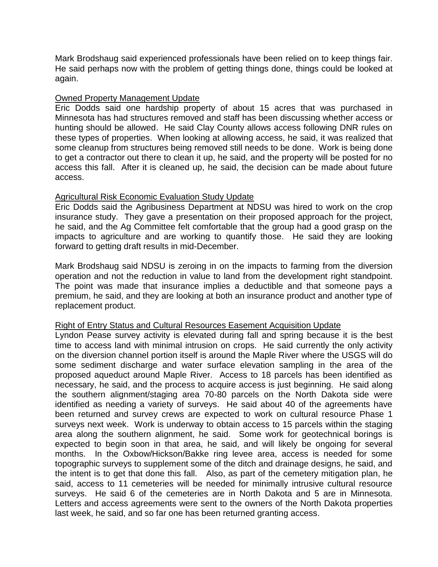Mark Brodshaug said experienced professionals have been relied on to keep things fair. He said perhaps now with the problem of getting things done, things could be looked at again.

# Owned Property Management Update

Eric Dodds said one hardship property of about 15 acres that was purchased in Minnesota has had structures removed and staff has been discussing whether access or hunting should be allowed. He said Clay County allows access following DNR rules on these types of properties. When looking at allowing access, he said, it was realized that some cleanup from structures being removed still needs to be done. Work is being done to get a contractor out there to clean it up, he said, and the property will be posted for no access this fall. After it is cleaned up, he said, the decision can be made about future access.

# Agricultural Risk Economic Evaluation Study Update

Eric Dodds said the Agribusiness Department at NDSU was hired to work on the crop insurance study. They gave a presentation on their proposed approach for the project, he said, and the Ag Committee felt comfortable that the group had a good grasp on the impacts to agriculture and are working to quantify those. He said they are looking forward to getting draft results in mid-December.

Mark Brodshaug said NDSU is zeroing in on the impacts to farming from the diversion operation and not the reduction in value to land from the development right standpoint. The point was made that insurance implies a deductible and that someone pays a premium, he said, and they are looking at both an insurance product and another type of replacement product.

## Right of Entry Status and Cultural Resources Easement Acquisition Update

Lyndon Pease survey activity is elevated during fall and spring because it is the best time to access land with minimal intrusion on crops. He said currently the only activity on the diversion channel portion itself is around the Maple River where the USGS will do some sediment discharge and water surface elevation sampling in the area of the proposed aqueduct around Maple River. Access to 18 parcels has been identified as necessary, he said, and the process to acquire access is just beginning. He said along the southern alignment/staging area 70-80 parcels on the North Dakota side were identified as needing a variety of surveys. He said about 40 of the agreements have been returned and survey crews are expected to work on cultural resource Phase 1 surveys next week. Work is underway to obtain access to 15 parcels within the staging area along the southern alignment, he said. Some work for geotechnical borings is expected to begin soon in that area, he said, and will likely be ongoing for several months. In the Oxbow/Hickson/Bakke ring levee area, access is needed for some topographic surveys to supplement some of the ditch and drainage designs, he said, and the intent is to get that done this fall. Also, as part of the cemetery mitigation plan, he said, access to 11 cemeteries will be needed for minimally intrusive cultural resource surveys. He said 6 of the cemeteries are in North Dakota and 5 are in Minnesota. Letters and access agreements were sent to the owners of the North Dakota properties last week, he said, and so far one has been returned granting access.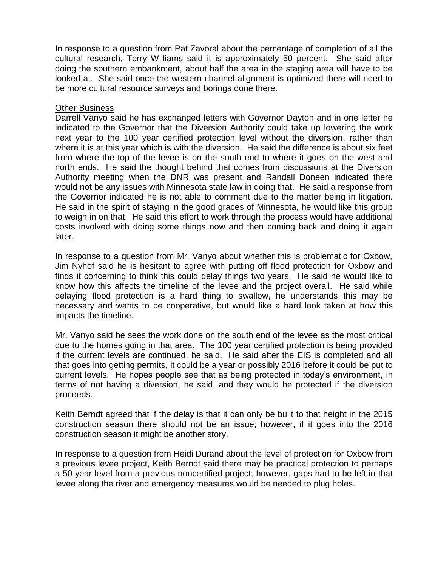In response to a question from Pat Zavoral about the percentage of completion of all the cultural research, Terry Williams said it is approximately 50 percent. She said after doing the southern embankment, about half the area in the staging area will have to be looked at. She said once the western channel alignment is optimized there will need to be more cultural resource surveys and borings done there.

# Other Business

Darrell Vanyo said he has exchanged letters with Governor Dayton and in one letter he indicated to the Governor that the Diversion Authority could take up lowering the work next year to the 100 year certified protection level without the diversion, rather than where it is at this year which is with the diversion. He said the difference is about six feet from where the top of the levee is on the south end to where it goes on the west and north ends. He said the thought behind that comes from discussions at the Diversion Authority meeting when the DNR was present and Randall Doneen indicated there would not be any issues with Minnesota state law in doing that. He said a response from the Governor indicated he is not able to comment due to the matter being in litigation. He said in the spirit of staying in the good graces of Minnesota, he would like this group to weigh in on that. He said this effort to work through the process would have additional costs involved with doing some things now and then coming back and doing it again later.

In response to a question from Mr. Vanyo about whether this is problematic for Oxbow, Jim Nyhof said he is hesitant to agree with putting off flood protection for Oxbow and finds it concerning to think this could delay things two years. He said he would like to know how this affects the timeline of the levee and the project overall. He said while delaying flood protection is a hard thing to swallow, he understands this may be necessary and wants to be cooperative, but would like a hard look taken at how this impacts the timeline.

Mr. Vanyo said he sees the work done on the south end of the levee as the most critical due to the homes going in that area. The 100 year certified protection is being provided if the current levels are continued, he said. He said after the EIS is completed and all that goes into getting permits, it could be a year or possibly 2016 before it could be put to current levels. He hopes people see that as being protected in today's environment, in terms of not having a diversion, he said, and they would be protected if the diversion proceeds.

Keith Berndt agreed that if the delay is that it can only be built to that height in the 2015 construction season there should not be an issue; however, if it goes into the 2016 construction season it might be another story.

In response to a question from Heidi Durand about the level of protection for Oxbow from a previous levee project, Keith Berndt said there may be practical protection to perhaps a 50 year level from a previous noncertified project; however, gaps had to be left in that levee along the river and emergency measures would be needed to plug holes.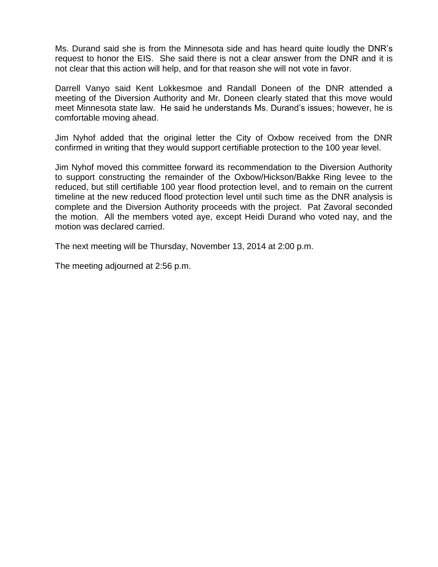Ms. Durand said she is from the Minnesota side and has heard quite loudly the DNR's request to honor the EIS. She said there is not a clear answer from the DNR and it is not clear that this action will help, and for that reason she will not vote in favor.

Darrell Vanyo said Kent Lokkesmoe and Randall Doneen of the DNR attended a meeting of the Diversion Authority and Mr. Doneen clearly stated that this move would meet Minnesota state law. He said he understands Ms. Durand's issues; however, he is comfortable moving ahead.

Jim Nyhof added that the original letter the City of Oxbow received from the DNR confirmed in writing that they would support certifiable protection to the 100 year level.

Jim Nyhof moved this committee forward its recommendation to the Diversion Authority to support constructing the remainder of the Oxbow/Hickson/Bakke Ring levee to the reduced, but still certifiable 100 year flood protection level, and to remain on the current timeline at the new reduced flood protection level until such time as the DNR analysis is complete and the Diversion Authority proceeds with the project. Pat Zavoral seconded the motion. All the members voted aye, except Heidi Durand who voted nay, and the motion was declared carried.

The next meeting will be Thursday, November 13, 2014 at 2:00 p.m.

The meeting adjourned at 2:56 p.m.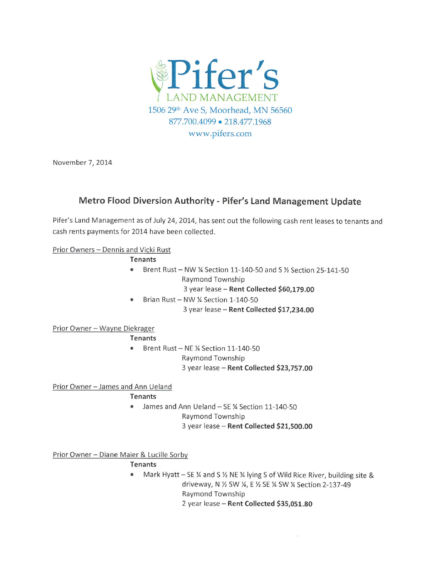

November 7, 2014

# Metro Flood Diversion Authority - Pifer's Land Management Update

Pifer's Land Management as of July 24, 2014, has sent out the following cash rent leases to tenants and cash rents payments for 2014 have been collected.

# Prior Owners - Dennis and Vicki Rust

#### **Tenants**

- Brent Rust NW ¼ Section 11-140-50 and S ½ Section 25-141-50  $\bullet$ Raymond Township
	- 3 year lease Rent Collected \$60,179.00
- Brian Rust NW 1/4 Section 1-140-50  $\bullet$ 3 year lease - Rent Collected \$17,234.00

## Prior Owner - Wayne Diekrager

## **Tenants**

• Brent Rust - NE % Section 11-140-50 Raymond Township 3 year lease - Rent Collected \$23,757.00

# Prior Owner - James and Ann Ueland

# **Tenants**

- James and Ann Ueland SE 1/4 Section 11-140-50
	- Raymond Township
	- 3 year lease Rent Collected \$21,500.00

Prior Owner - Diane Maier & Lucille Sorby

## **Tenants**

Mark Hyatt - SE 1⁄4 and S 1⁄2 NE 1⁄4 lying S of Wild Rice River, building site &  $\bullet$ driveway, N 1/2 SW 1/4, E 1/2 SE 1/4 SW 1/4 Section 2-137-49 Raymond Township 2 year lease - Rent Collected \$35,051.80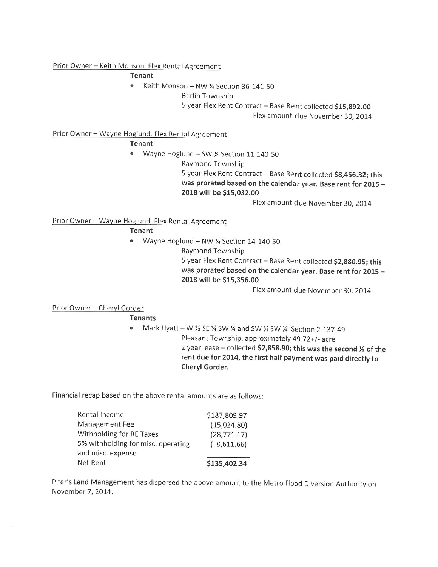## Prior Owner - Keith Monson, Flex Rental Agreement

Tenant

- Keith Monson NW ¼ Section 36-141-50
	- **Berlin Township**

5 year Flex Rent Contract - Base Rent collected \$15,892.00

Flex amount due November 30, 2014

## Prior Owner - Wayne Hoglund, Flex Rental Agreement

**Tenant** 

- Wayne Hoglund SW % Section 11-140-50  $\bullet$ 
	- Raymond Township

5 year Flex Rent Contract - Base Rent collected \$8,456.32; this was prorated based on the calendar year. Base rent for 2015 -2018 will be \$15,032.00

Flex amount due November 30, 2014

# Prior Owner - Wayne Hoglund, Flex Rental Agreement

Tenant

- Wayne Hoglund NW % Section 14-140-50  $\bullet$ 
	- Raymond Township

5 year Flex Rent Contract - Base Rent collected \$2,880.95; this was prorated based on the calendar year. Base rent for 2015 -2018 will be \$15,356.00

Flex amount due November 30, 2014

# Prior Owner - Cheryl Gorder

**Tenants** 

• Mark Hyatt - W 1/2 SE 1/4 SW 1/4 and SW 1/4 SW 1/4 Section 2-137-49 Pleasant Township, approximately 49.72+/- acre 2 year lease - collected \$2,858.90; this was the second  $\frac{1}{2}$  of the rent due for 2014, the first half payment was paid directly to Cheryl Gorder.

Financial recap based on the above rental amounts are as follows:

| Rental Income                      | \$187,809.97 |
|------------------------------------|--------------|
| Management Fee                     | (15,024.80)  |
| Withholding for RE Taxes           | (28, 771.17) |
| 5% withholding for misc. operating | (8,611.66)   |
| and misc. expense                  |              |
| Net Rent                           | \$135,402.34 |

Pifer's Land Management has dispersed the above amount to the Metro Flood Diversion Authority on November 7, 2014.